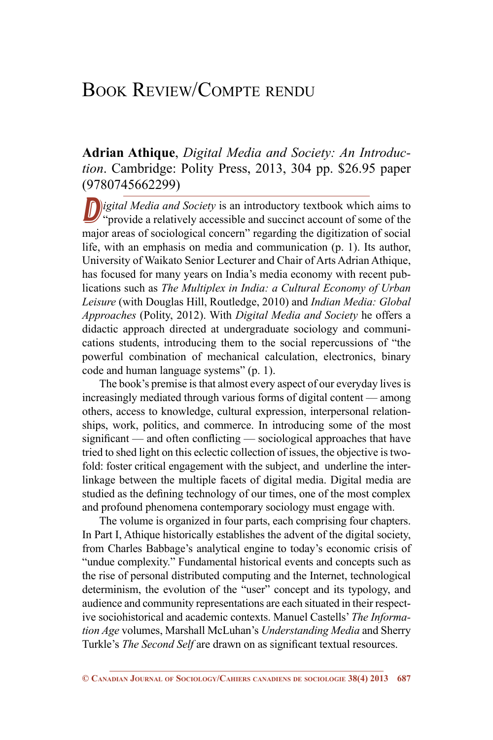## Book Review/Compte rendu

## **Adrian Athique**, *Digital Media and Society: An Introduction*. Cambridge: Polity Press, 2013, 304 pp. \$26.95 paper (9780745662299)

D<sub>igital</sub> Media and Society is an introductory textbook which aims to "provide a relatively accessible and succinct account of some of the major areas of sociological concern" regarding the digitization of social life, with an emphasis on media and communication (p. 1). Its author, University of Waikato Senior Lecturer and Chair of Arts Adrian Athique, has focused for many years on India's media economy with recent publications such as *The Multiplex in India: a Cultural Economy of Urban Leisure* (with Douglas Hill, Routledge, 2010) and *Indian Media: Global Approaches* (Polity, 2012). With *Digital Media and Society* he offers a didactic approach directed at undergraduate sociology and communications students, introducing them to the social repercussions of "the powerful combination of mechanical calculation, electronics, binary code and human language systems" (p. 1).

The book's premise is that almost every aspect of our everyday lives is increasingly mediated through various forms of digital content — among others, access to knowledge, cultural expression, interpersonal relationships, work, politics, and commerce. In introducing some of the most significant — and often conflicting — sociological approaches that have tried to shed light on this eclectic collection of issues, the objective is twofold: foster critical engagement with the subject, and underline the interlinkage between the multiple facets of digital media. Digital media are studied as the defining technology of our times, one of the most complex and profound phenomena contemporary sociology must engage with.

The volume is organized in four parts, each comprising four chapters. In Part I, Athique historically establishes the advent of the digital society, from Charles Babbage's analytical engine to today's economic crisis of "undue complexity." Fundamental historical events and concepts such as the rise of personal distributed computing and the Internet, technological determinism, the evolution of the "user" concept and its typology, and audience and community representations are each situated in their respective sociohistorical and academic contexts. Manuel Castells' *The Information Age* volumes, Marshall McLuhan's *Understanding Media* and Sherry Turkle's *The Second Self* are drawn on as significant textual resources.

**<sup>©</sup> Canadian Journal of Sociology/Cahiers canadiens de sociologie 38(4) 2013 687**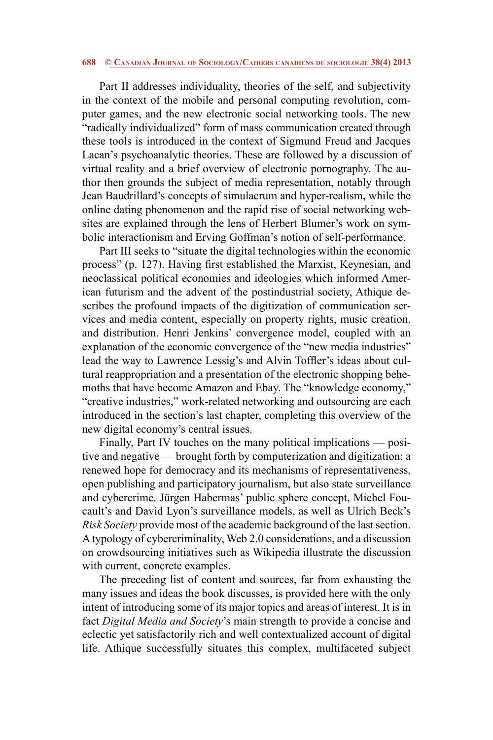## **688 © Canadian Journal of Sociology/Cahiers canadiens de sociologie 38(4) 2013**

Part II addresses individuality, theories of the self, and subjectivity in the context of the mobile and personal computing revolution, computer games, and the new electronic social networking tools. The new "radically individualized" form of mass communication created through these tools is introduced in the context of Sigmund Freud and Jacques Lacan's psychoanalytic theories. These are followed by a discussion of virtual reality and a brief overview of electronic pornography. The author then grounds the subject of media representation, notably through Jean Baudrillard's concepts of simulacrum and hyper-realism, while the online dating phenomenon and the rapid rise of social networking websites are explained through the lens of Herbert Blumer's work on symbolic interactionism and Erving Goffman's notion of self-performance.

Part III seeks to "situate the digital technologies within the economic process" (p. 127). Having first established the Marxist, Keynesian, and neoclassical political economies and ideologies which informed American futurism and the advent of the postindustrial society, Athique describes the profound impacts of the digitization of communication services and media content, especially on property rights, music creation, and distribution. Henri Jenkins' convergence model, coupled with an explanation of the economic convergence of the "new media industries" lead the way to Lawrence Lessig's and Alvin Toffler's ideas about cultural reappropriation and a presentation of the electronic shopping behemoths that have become Amazon and Ebay. The "knowledge economy," "creative industries," work-related networking and outsourcing are each introduced in the section's last chapter, completing this overview of the new digital economy's central issues.

Finally, Part IV touches on the many political implications — positive and negative — brought forth by computerization and digitization: a renewed hope for democracy and its mechanisms of representativeness, open publishing and participatory journalism, but also state surveillance and cybercrime. Jürgen Habermas' public sphere concept, Michel Foucault's and David Lyon's surveillance models, as well as Ulrich Beck's *Risk Society* provide most of the academic background of the last section. A typology of cybercriminality, Web 2.0 considerations, and a discussion on crowdsourcing initiatives such as Wikipedia illustrate the discussion with current, concrete examples.

The preceding list of content and sources, far from exhausting the many issues and ideas the book discusses, is provided here with the only intent of introducing some of its major topics and areas of interest. It is in fact *Digital Media and Society*'s main strength to provide a concise and eclectic yet satisfactorily rich and well contextualized account of digital life. Athique successfully situates this complex, multifaceted subject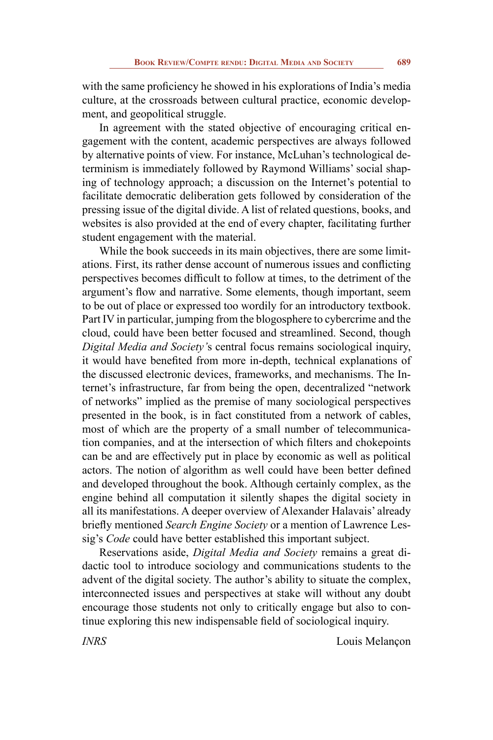with the same proficiency he showed in his explorations of India's media culture, at the crossroads between cultural practice, economic development, and geopolitical struggle.

In agreement with the stated objective of encouraging critical engagement with the content, academic perspectives are always followed by alternative points of view. For instance, McLuhan's technological determinism is immediately followed by Raymond Williams' social shaping of technology approach; a discussion on the Internet's potential to facilitate democratic deliberation gets followed by consideration of the pressing issue of the digital divide. A list of related questions, books, and websites is also provided at the end of every chapter, facilitating further student engagement with the material.

While the book succeeds in its main objectives, there are some limitations. First, its rather dense account of numerous issues and conflicting perspectives becomes difficult to follow at times, to the detriment of the argument's flow and narrative. Some elements, though important, seem to be out of place or expressed too wordily for an introductory textbook. Part IV in particular, jumping from the blogosphere to cybercrime and the cloud, could have been better focused and streamlined. Second, though *Digital Media and Society'*s central focus remains sociological inquiry, it would have benefited from more in-depth, technical explanations of the discussed electronic devices, frameworks, and mechanisms. The Internet's infrastructure, far from being the open, decentralized "network of networks" implied as the premise of many sociological perspectives presented in the book, is in fact constituted from a network of cables, most of which are the property of a small number of telecommunication companies, and at the intersection of which filters and chokepoints can be and are effectively put in place by economic as well as political actors. The notion of algorithm as well could have been better defined and developed throughout the book. Although certainly complex, as the engine behind all computation it silently shapes the digital society in all its manifestations. A deeper overview of Alexander Halavais' already briefly mentioned *Search Engine Society* or a mention of Lawrence Lessig's *Code* could have better established this important subject.

Reservations aside, *Digital Media and Society* remains a great didactic tool to introduce sociology and communications students to the advent of the digital society. The author's ability to situate the complex, interconnected issues and perspectives at stake will without any doubt encourage those students not only to critically engage but also to continue exploring this new indispensable field of sociological inquiry.

*INRS* Louis Melançon